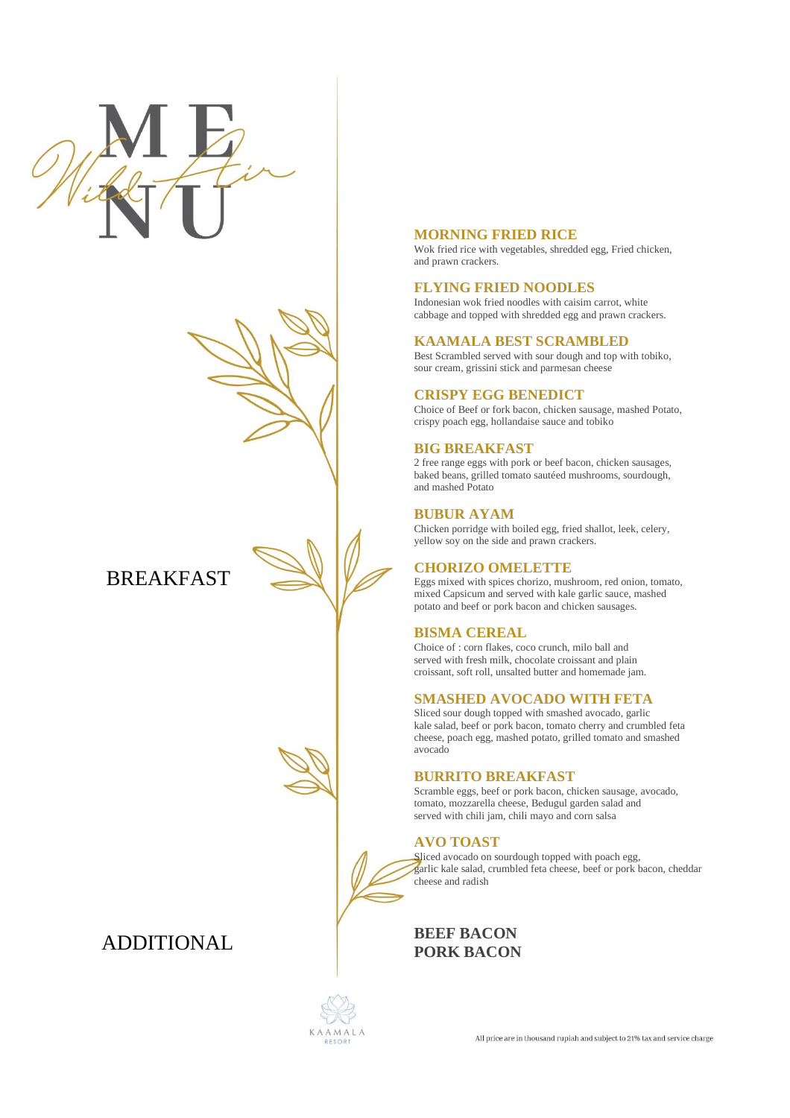

**BREAKFAST** 

# ADDITIONAL

## **MORNING FRIED RICE**

Wok fried rice with vegetables, shredded egg, Fried chicken, and prawn crackers.

#### **FLYING FRIED NOODLES**

Indonesian wok fried noodles with caisim carrot, white cabbage and topped with shredded egg and prawn crackers.

#### **KAAMALA BEST SCRAMBLED**

Best Scrambled served with sour dough and top with tobiko, sour cream, grissini stick and parmesan cheese

#### **CRISPY EGG BENEDICT**

Choice of Beef or fork bacon, chicken sausage, mashed Potato, crispy poach egg, hollandaise sauce and tobiko

#### **BIG BREAKFAST**

2 free range eggs with pork or beef bacon, chicken sausages, baked beans, grilled tomato sautéed mushrooms, sourdough, and mashed Potato

#### **BUBUR AYAM**

Chicken porridge with boiled egg, fried shallot, leek, celery, yellow soy on the side and prawn crackers.

# **CHORIZO OMELETTE**

Eggs mixed with spices chorizo, mushroom, red onion, tomato, mixed Capsicum and served with kale garlic sauce, mashed potato and beef or pork bacon and chicken sausages.

#### **BISMA CEREAL**

Choice of : corn flakes, coco crunch, milo ball and served with fresh milk, chocolate croissant and plain croissant, soft roll, unsalted butter and homemade jam.

#### **SMASHED AVOCADO WITH FETA**

Sliced sour dough topped with smashed avocado, garlic kale salad, beef or pork bacon, tomato cherry and crumbled feta cheese, poach egg, mashed potato, grilled tomato and smashed avocado

# **BURRITO BREAKFAST**

Scramble eggs, beef or pork bacon, chicken sausage, avocado, tomato, mozzarella cheese, Bedugul garden salad and served with chili jam, chili mayo and corn salsa

## **AVO TOAST**

Sliced avocado on sourdough topped with poach egg, garlic kale salad, crumbled feta cheese, beef or pork bacon, cheddar cheese and radish

**BEEF BACON PORK BACON** 

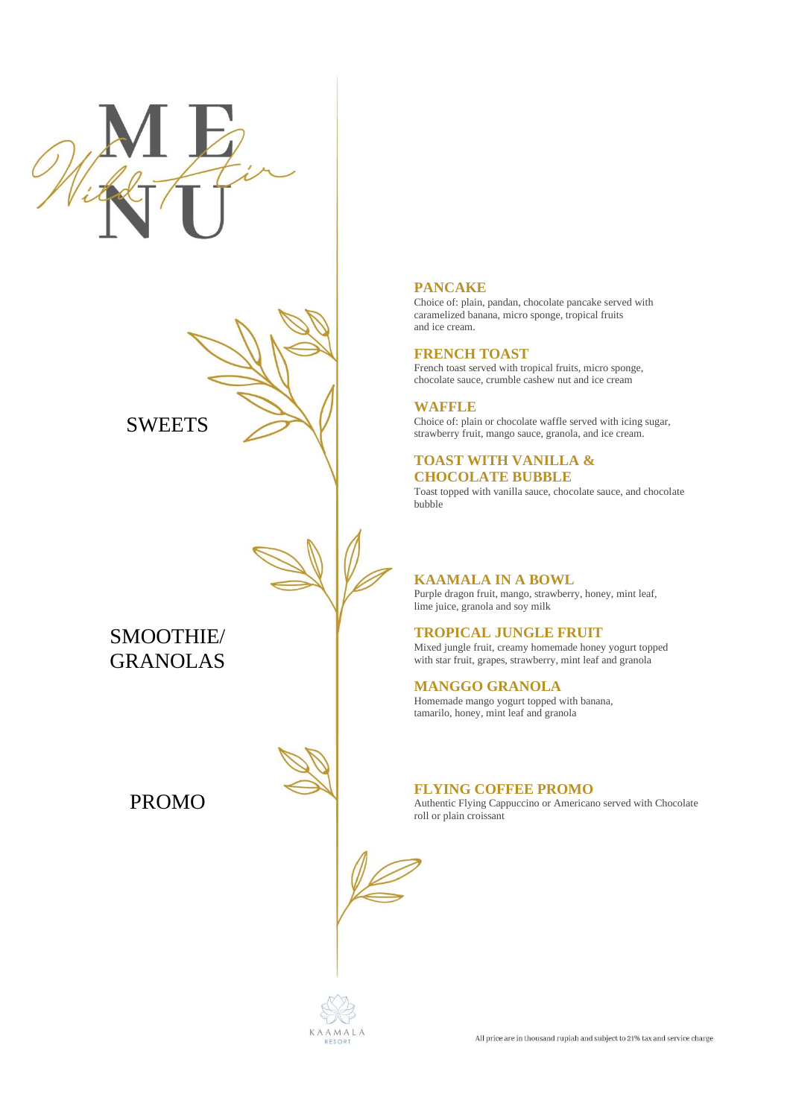



SMOOTHIE/ GRANOLAS

PROMO

# **PANCAKE**

Choice of: plain, pandan, chocolate pancake served with caramelized banana, micro sponge, tropical fruits and ice cream.

#### **FRENCH TOAST**

French toast served with tropical fruits, micro sponge, chocolate sauce, crumble cashew nut and ice cream

## **WAFFLE**

Choice of: plain or chocolate waffle served with icing sugar, strawberry fruit, mango sauce, granola, and ice cream.

#### **TOAST WITH VANILLA & CHOCOLATE BUBBLE**

Toast topped with vanilla sauce, chocolate sauce, and chocolate bubble

## **KAAMALA IN A BOWL**

Purple dragon fruit, mango, strawberry, honey, mint leaf, lime juice, granola and soy milk

# **TROPICAL JUNGLE FRUIT**

Mixed jungle fruit, creamy homemade honey yogurt topped with star fruit, grapes, strawberry, mint leaf and granola

#### **MANGGO GRANOLA**

Homemade mango yogurt topped with banana, tamarilo, honey, mint leaf and granola

#### **FLYING COFFEE PROMO**

Authentic Flying Cappuccino or Americano served with Chocolate roll or plain croissant



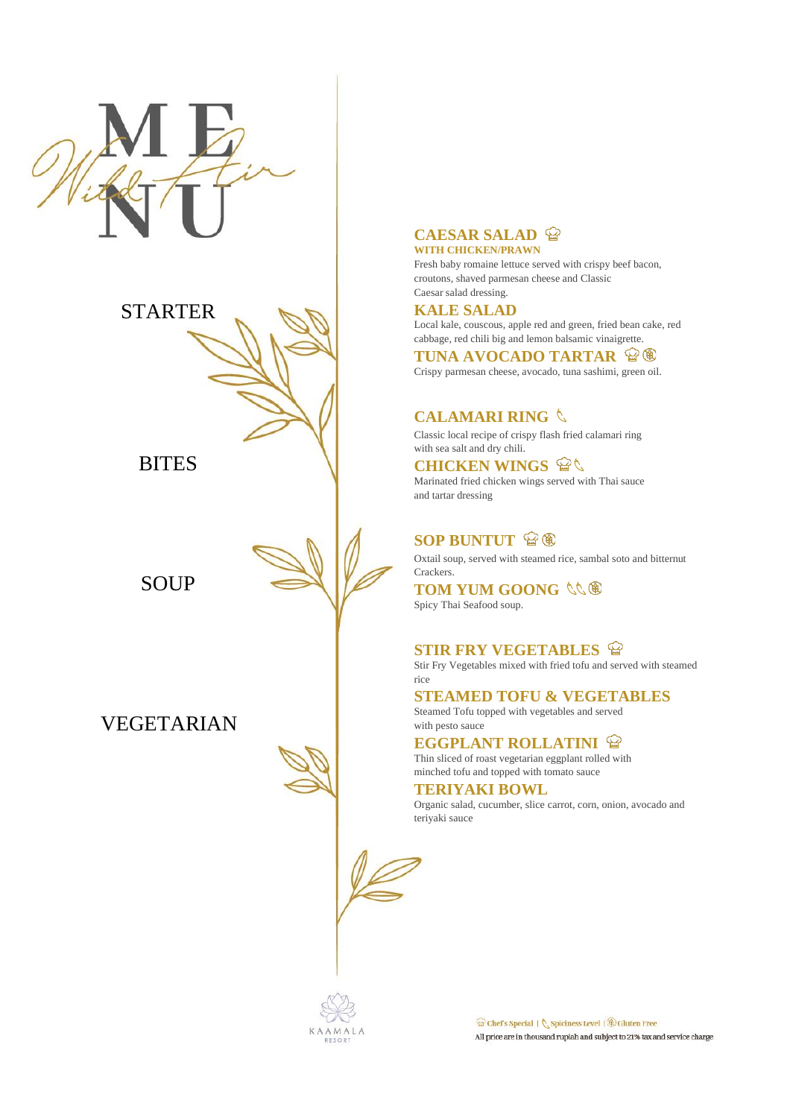



BITES

SOUP

VEGETARIAN

#### **CAESAR SALAD WITH CHICKEN/PRAWN**

Fresh baby romaine lettuce served with crispy beef bacon, croutons, shaved parmesan cheese and Classic Caesar salad dressing.

# **KALE SALAD**

Local kale, couscous, apple red and green, fried bean cake, red cabbage, red chili big and lemon balsamic vinaigrette.

**TUNA AVOCADO TARTAR & ®** Crispy parmesan cheese, avocado, tuna sashimi, green oil.

# **CALAMARI RING**

Classic local recipe of crispy flash fried calamari ring with sea salt and dry chili.

**CHICKEN WINGS** Marinated fried chicken wings served with Thai sauce and tartar dressing

# **SOP BUNTUT**  $\mathscr{C}(\mathbb{R})$

Oxtail soup, served with steamed rice, sambal soto and bitternut Crackers.

**TOM YUM GOONG**  $\Diamond \Diamond \$ Spicy Thai Seafood soup.

## **STIR FRY VEGETABLES**

Stir Fry Vegetables mixed with fried tofu and served with steamed rice

**STEAMED TOFU & VEGETABLES** Steamed Tofu topped with vegetables and served with pesto sauce

**EGGPLANT ROLLATINI**  $\mathbb{Q}$ Thin sliced of roast vegetarian eggplant rolled with minched tofu and topped with tomato sauce

**TERIYAKI BOWL** Organic salad, cucumber, slice carrot, corn, onion, avocado and teriyaki sauce

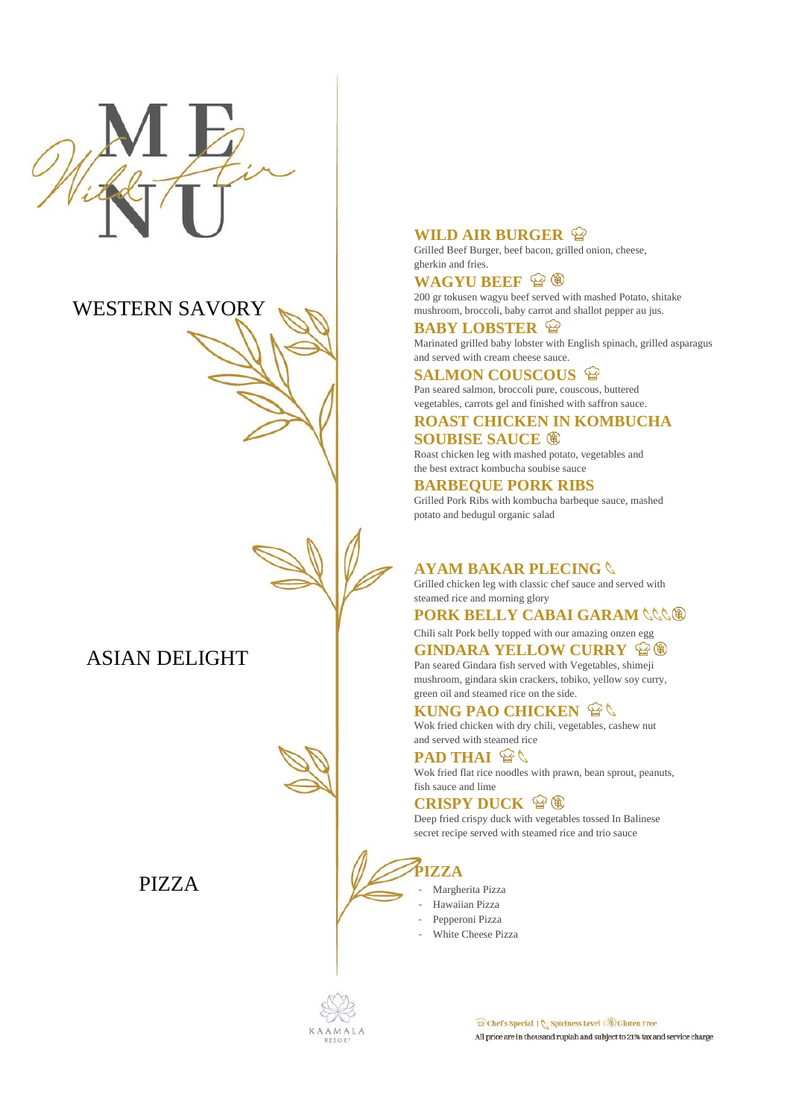

# WESTERN SAVORY

ASIAN DELIGHT

PIZZA

# **WILD AIR BURGER**

Grilled Beef Burger, beef bacon, grilled onion, cheese, gherkin and fries.

# **WAGYU BEEF**  $\mathscr{D}\oplus\mathscr{D}$

200 gr tokusen wagyu beef served with mashed Potato, shitake mushroom, broccoli, baby carrot and shallot pepper au jus.

**BABY LOBSTER**  $\mathbb{Q}$ Marinated grilled baby lobster with English spinach, grilled asparagus and served with cream cheese sauce.

## **SALMON COUSCOUS**  $\mathbb{Q}$

Pan seared salmon, broccoli pure, couscous, buttered vegetables, carrots gel and finished with saffron sauce.

## **ROAST CHICKEN IN KOMBUCHA SOUBISE SAUCE**

Roast chicken leg with mashed potato, vegetables and the best extract kombucha soubise sauce

# **BARBEQUE PORK RIBS**

Grilled Pork Ribs with kombucha barbeque sauce, mashed potato and bedugul organic salad

# **AYAM BAKAR PLECING**

Grilled chicken leg with classic chef sauce and served with steamed rice and morning glory

# **PORK BELLY CABAI GARAM**

Chili salt Pork belly topped with our amazing onzen egg **GINDARA YELLOW CURRY**  $\mathbb{G}\circledast$ 

Pan seared Gindara fish served with Vegetables, shimeji mushroom, gindara skin crackers, tobiko, yellow soy curry, green oil and steamed rice on the side.

# **KUNG PAO CHICKEN**  $\mathbb{Q}$

Wok fried chicken with dry chili, vegetables, cashew nut and served with steamed rice

# **PAD THAI <sup><b>Q**</sup>

Wok fried flat rice noodles with prawn, bean sprout, peanuts, fish sauce and lime

# **CRISPY DUCK**  $\mathscr{D} \circledast$

Deep fried crispy duck with vegetables tossed In Balinese secret recipe served with steamed rice and trio sauce

**PIZZA**

- Margherita Pizza
- Hawaiian Pizza
- Pepperoni Pizza
- White Cheese Pizza



 $\widehat{\mathcal{C}}$  Chef's Special |  $\bigwedge$  Spiciness Level |  $\widehat{\mathcal{C}}$  Gluten Free All price are in thousand rupiah and subject to 21% tax and service charge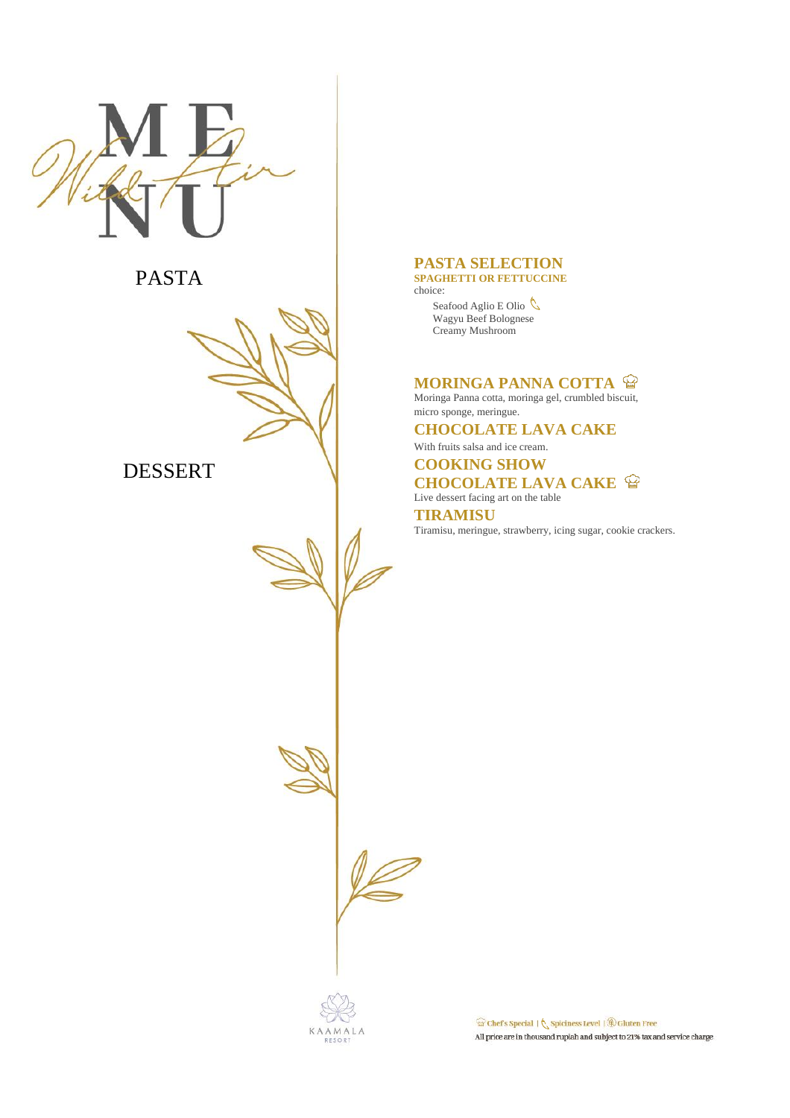

# PASTA



# DESSERT

#### **PASTA SELECTION SPAGHETTI OR FETTUCCINE**

choice:

Seafood Aglio E Olio Wagyu Beef Bolognese Creamy Mushroom

# **MORINGA PANNA COTTA <sup>@</sup>**

Moringa Panna cotta, moringa gel, crumbled biscuit, micro sponge, meringue.

# **CHOCOLATE LAVA CAKE**

With fruits salsa and ice cream.

# **COOKING SHOW CHOCOLATE LAVA CAKE**

Live dessert facing art on the table

**TIRAMISU** Tiramisu, meringue, strawberry, icing sugar, cookie crackers.

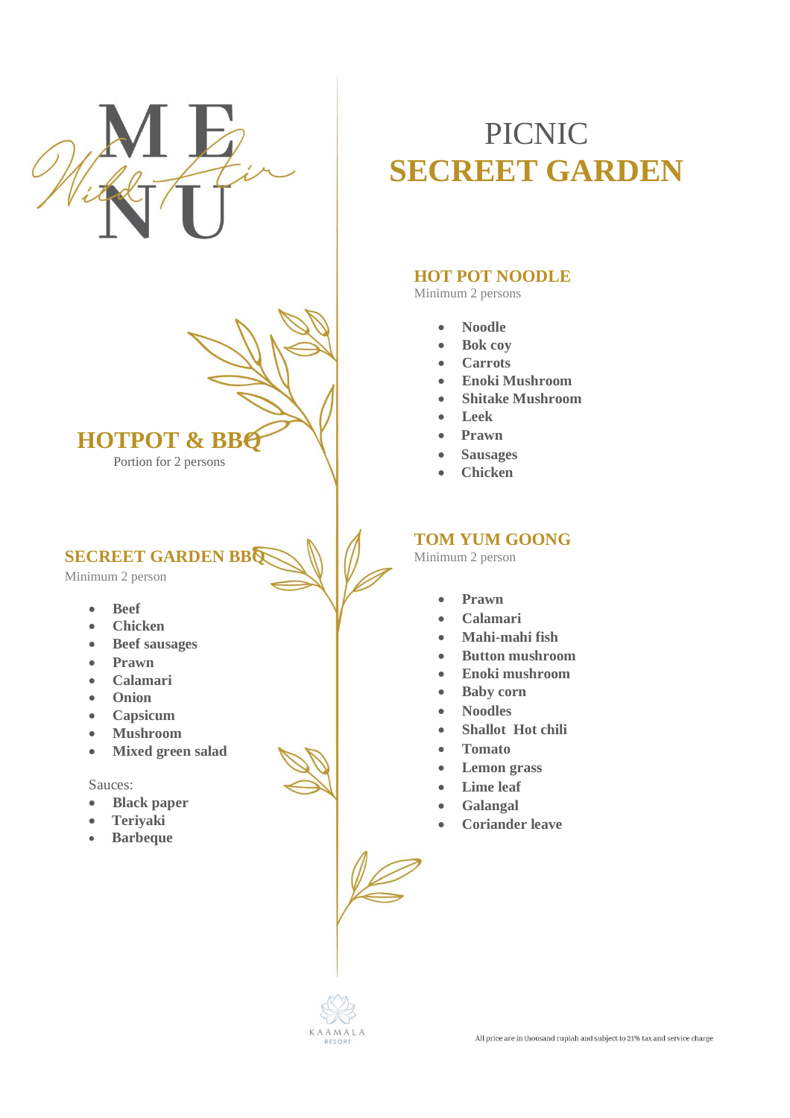



**SECREET GARDEN BBQ** 

Minimum 2 person

- **Beef**
- **Chicken**
- **Beef sausages**
- **Prawn**
- **Calamari**
- **Onion**
- **Capsicum**
- **Mushroom**
- **Mixed green salad**

#### Sauces:

- **Black paper**
- **Teriyaki**
- **Barbeque**

# PICNIC **SECREET GARDEN**

# **HOT POT NOODLE**

Minimum 2 persons

- **Noodle**
- **Bok coy**
- **Carrots**
- **Enoki Mushroom**
- **Shitake Mushroom**
- **Leek**
- **Prawn**
- **Sausages**
- **Chicken**

# **TOM YUM GOONG**

Minimum 2 person

- **Prawn**
- **Calamari**
- **Mahi-mahi fish**
- **Button mushroom**
- **Enoki mushroom**
- **Baby corn**
- **Noodles**
- **Shallot** Hot chili
- **Tomato**
- **Lemon grass**
- **Lime leaf**
- **Galangal**
- **Coriander leave**

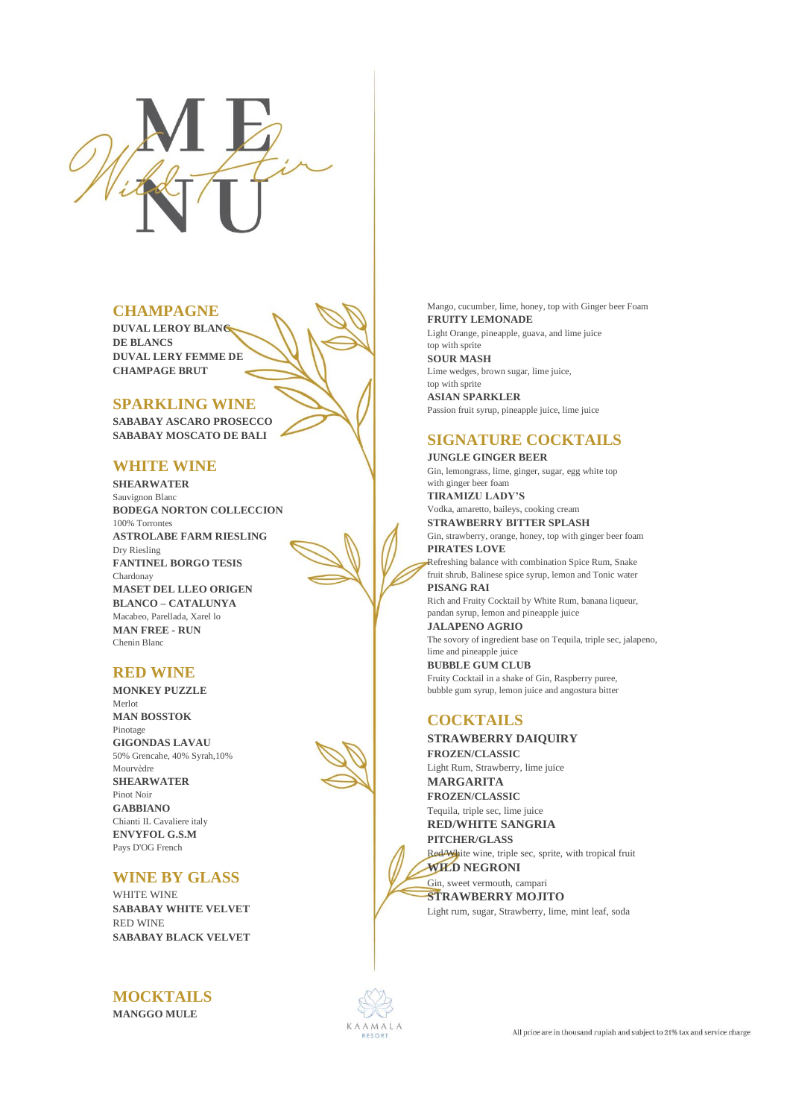

# **CHAMPAGNE**

**DUVAL LEROY BLANC DE BLANCS DUVAL LERY FEMME DE CHAMPAGE BRUT**

#### **SPARKLING WINE**

**SABABAY ASCARO PROSECCO SABABAY MOSCATO DE BALI**

#### **WHITE WINE**

**SHEARWATER**  Sauvignon Blanc **BODEGA NORTON COLLECCION** 100% Torrontes **ASTROLABE FARM RIESLING** Dry Riesling **FANTINEL BORGO TESIS** Chardonay **MASET DEL LLEO ORIGEN BLANCO – CATALUNYA** Macabeo, Parellada, Xarel lo **MAN FREE - RUN** Chenin Blanc

# **RED WINE**

**MONKEY PUZZLE**  Merlot **MAN BOSSTOK**  Pinotage **GIGONDAS LAVAU**  50% Grencahe, 40% Syrah,10% Mourvèdre **SHEARWATER**  Pinot Noir **GABBIANO**  Chianti IL Cavaliere italy **ENVYFOL G.S.M**  Pays D'OG French

## **WINE BY GLASS**

WHITE WINE **SABABAY WHITE VELVET** RED WINE **SABABAY BLACK VELVET**

**MOCKTAILS**

**MANGGO MULE** 

Mango, cucumber, lime, honey, top with Ginger beer Foam **FRUITY LEMONADE**  Light Orange, pineapple, guava, and lime juice top with sprite **SOUR MASH**  Lime wedges, brown sugar, lime juice, top with sprite **ASIAN SPARKLER**  Passion fruit syrup, pineapple juice, lime juice

# **SIGNATURE COCKTAILS**

#### **JUNGLE GINGER BEER**

Gin, lemongrass, lime, ginger, sugar, egg white top with ginger beer foam **TIRAMIZU LADY'S** 

Vodka, amaretto, baileys, cooking cream

**STRAWBERRY BITTER SPLASH**  Gin, strawberry, orange, honey, top with ginger beer foam **PIRATES LOVE** 

Refreshing balance with combination Spice Rum, Snake fruit shrub, Balinese spice syrup, lemon and Tonic water **PISANG RAI** 

Rich and Fruity Cocktail by White Rum, banana liqueur, pandan syrup, lemon and pineapple juice

**JALAPENO AGRIO**  The sovory of ingredient base on Tequila, triple sec, jalapeno, lime and pineapple juice **BUBBLE GUM CLUB**  Fruity Cocktail in a shake of Gin, Raspberry puree, bubble gum syrup, lemon juice and angostura bitter

# **COCKTAILS**

**STRAWBERRY DAIQUIRY** 

**FROZEN/CLASSIC** Light Rum, Strawberry, lime juice **MARGARITA FROZEN/CLASSIC** Tequila, triple sec, lime juice **RED/WHITE SANGRIA PITCHER/GLASS**

Red/White wine, triple sec, sprite, with tropical fruit **WILD NEGRONI** 

Gin, sweet vermouth, campari **STRAWBERRY MOJITO** 

Light rum, sugar, Strawberry, lime, mint leaf, soda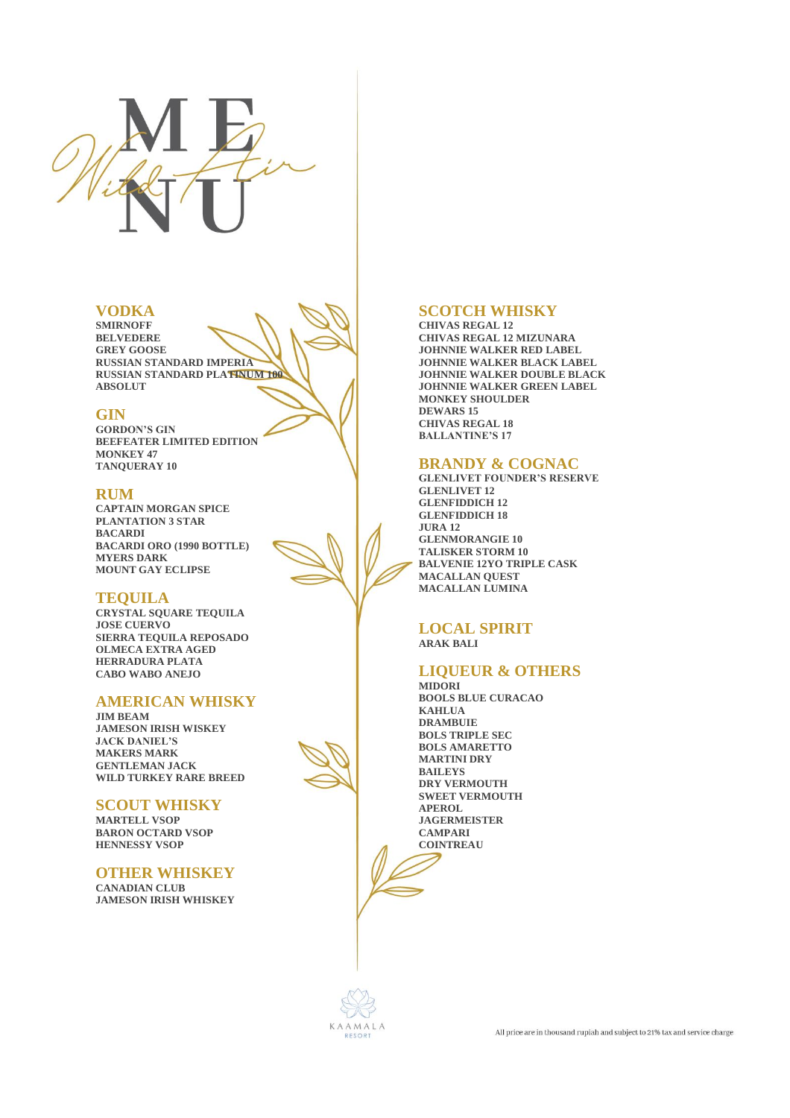

#### **VODKA**

**SMIRNOFF BELVEDERE GREY GOOSE RUSSIAN STANDARD IMPERIA RUSSIAN STANDARD PLATINUM 100 ABSOLUT** 

#### **GIN**

**GORDON'S GIN BEEFEATER LIMITED EDITION MONKEY 47 TANQUERAY 10** 

#### **RUM**

**CAPTAIN MORGAN SPICE PLANTATION 3 STAR BACARDI BACARDI ORO (1990 BOTTLE) MYERS DARK MOUNT GAY ECLIPSE** 

#### **TEQUILA**

**CRYSTAL SQUARE TEQUILA JOSE CUERVO SIERRA TEQUILA REPOSADO OLMECA EXTRA AGED HERRADURA PLATA CABO WABO ANEJO** 

# **AMERICAN WHISKY**

**JIM BEAM JAMESON IRISH WISKEY JACK DANIEL'S MAKERS MARK GENTLEMAN JACK WILD TURKEY RARE BREED** 

**SCOUT WHISKY**

**MARTELL VSOP BARON OCTARD VSOP HENNESSY VSOP** 

#### **OTHER WHISKEY**

**CANADIAN CLUB JAMESON IRISH WHISKEY** 

# **SCOTCH WHISKY**

**CHIVAS REGAL 12 CHIVAS REGAL 12 MIZUNARA JOHNNIE WALKER RED LABEL JOHNNIE WALKER BLACK LABEL JOHNNIE WALKER DOUBLE BLACK JOHNNIE WALKER GREEN LABEL MONKEY SHOULDER DEWARS 15 CHIVAS REGAL 18 BALLANTINE'S 17** 

#### **BRANDY & COGNAC**

**GLENLIVET FOUNDER'S RESERVE GLENLIVET 12 GLENFIDDICH 12 GLENFIDDICH 18 JURA 12 GLENMORANGIE 10 TALISKER STORM 10 BALVENIE 12YO TRIPLE CASK MACALLAN QUEST MACALLAN LUMINA** 

#### **LOCAL SPIRIT ARAK BALI**

# **LIQUEUR & OTHERS**

**MIDORI BOOLS BLUE CURACAO KAHLUA DRAMBUIE BOLS TRIPLE SEC BOLS AMARETTO MARTINI DRY BAILEYS DRY VERMOUTH SWEET VERMOUTH APEROL JAGERMEISTER CAMPARI COINTREAU** 

KAAMALA